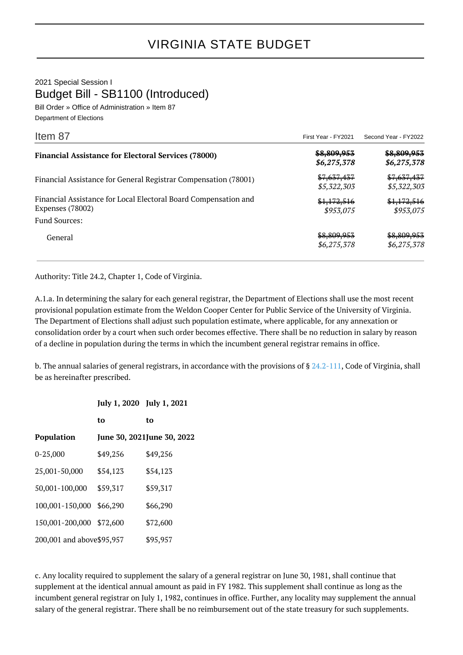2021 Special Session I Budget Bill - SB1100 (Introduced)

Bill Order » Office of Administration » Item 87 Department of Elections

| Item 87                                                                             | First Year - FY2021                   | Second Year - FY2022       |
|-------------------------------------------------------------------------------------|---------------------------------------|----------------------------|
| <b>Financial Assistance for Electoral Services (78000)</b>                          | <del>\$8,809,953</del><br>\$6,275,378 | \$8,809,953<br>\$6,275,378 |
| Financial Assistance for General Registrar Compensation (78001)                     | \$7,637,437<br>\$5,322,303            | \$7,637,437<br>\$5,322,303 |
| Financial Assistance for Local Electoral Board Compensation and<br>Expenses (78002) | \$1,172,516<br>\$953,075              | \$1,172,516<br>\$953,075   |
| <b>Fund Sources:</b>                                                                |                                       |                            |
| General                                                                             | \$8,809,953<br>\$6,275,378            | \$8,809,953<br>\$6,275,378 |

Authority: Title 24.2, Chapter 1, Code of Virginia.

A.1.a. In determining the salary for each general registrar, the Department of Elections shall use the most recent provisional population estimate from the Weldon Cooper Center for Public Service of the University of Virginia. The Department of Elections shall adjust such population estimate, where applicable, for any annexation or consolidation order by a court when such order becomes effective. There shall be no reduction in salary by reason of a decline in population during the terms in which the incumbent general registrar remains in office.

b. The annual salaries of general registrars, in accordance with the provisions of  $\S 24.2$ -111, Code of Virginia, shall be as hereinafter prescribed.

|                            | July 1, 2020 July 1, 2021 |                            |
|----------------------------|---------------------------|----------------------------|
|                            | to                        | to                         |
| Population                 |                           | June 30, 2021June 30, 2022 |
| $0 - 25,000$               | \$49,256                  | \$49,256                   |
| 25,001-50,000              | \$54,123                  | \$54,123                   |
| 50,001-100,000             | \$59,317                  | \$59,317                   |
| 100,001-150,000            | \$66,290                  | \$66,290                   |
| 150,001-200,000            | \$72,600                  | \$72,600                   |
| 200,001 and above \$95,957 |                           | \$95,957                   |

c. Any locality required to supplement the salary of a general registrar on June 30, 1981, shall continue that supplement at the identical annual amount as paid in FY 1982. This supplement shall continue as long as the incumbent general registrar on July 1, 1982, continues in office. Further, any locality may supplement the annual salary of the general registrar. There shall be no reimbursement out of the state treasury for such supplements.